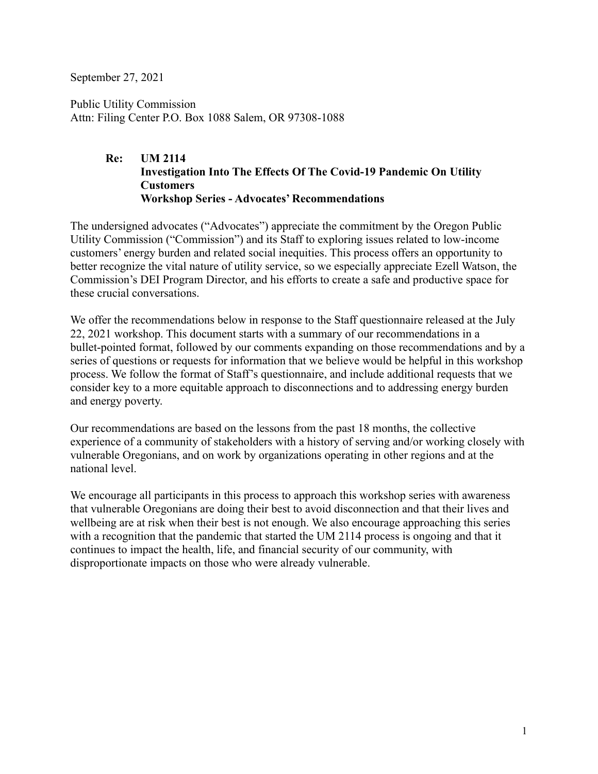September 27, 2021

Public Utility Commission Attn: Filing Center P.O. Box 1088 Salem, OR 97308-1088

#### **Re: UM 2114 Investigation Into The Effects Of The Covid-19 Pandemic On Utility Customers Workshop Series - Advocates' Recommendations**

The undersigned advocates ("Advocates") appreciate the commitment by the Oregon Public Utility Commission ("Commission") and its Staff to exploring issues related to low-income customers' energy burden and related social inequities. This process offers an opportunity to better recognize the vital nature of utility service, so we especially appreciate Ezell Watson, the Commission's DEI Program Director, and his efforts to create a safe and productive space for these crucial conversations.

We offer the recommendations below in response to the Staff questionnaire released at the July 22, 2021 workshop. This document starts with a summary of our recommendations in a bullet-pointed format, followed by our comments expanding on those recommendations and by a series of questions or requests for information that we believe would be helpful in this workshop process. We follow the format of Staff's questionnaire, and include additional requests that we consider key to a more equitable approach to disconnections and to addressing energy burden and energy poverty.

Our recommendations are based on the lessons from the past 18 months, the collective experience of a community of stakeholders with a history of serving and/or working closely with vulnerable Oregonians, and on work by organizations operating in other regions and at the national level.

We encourage all participants in this process to approach this workshop series with awareness that vulnerable Oregonians are doing their best to avoid disconnection and that their lives and wellbeing are at risk when their best is not enough. We also encourage approaching this series with a recognition that the pandemic that started the UM 2114 process is ongoing and that it continues to impact the health, life, and financial security of our community, with disproportionate impacts on those who were already vulnerable.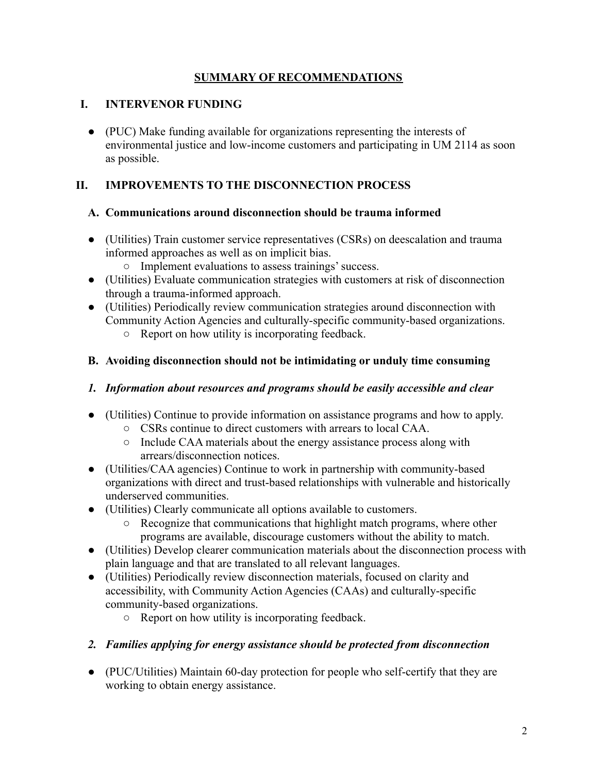## **SUMMARY OF RECOMMENDATIONS**

## **I. INTERVENOR FUNDING**

● (PUC) Make funding available for organizations representing the interests of environmental justice and low-income customers and participating in UM 2114 as soon as possible.

## **II. IMPROVEMENTS TO THE DISCONNECTION PROCESS**

#### **A. Communications around disconnection should be trauma informed**

- (Utilities) Train customer service representatives (CSRs) on deescalation and trauma informed approaches as well as on implicit bias.
	- Implement evaluations to assess trainings' success.
- (Utilities) Evaluate communication strategies with customers at risk of disconnection through a trauma-informed approach.
- (Utilities) Periodically review communication strategies around disconnection with Community Action Agencies and culturally-specific community-based organizations.
	- Report on how utility is incorporating feedback.

#### **B. Avoiding disconnection should not be intimidating or unduly time consuming**

#### *1. Information about resources and programs should be easily accessible and clear*

- (Utilities) Continue to provide information on assistance programs and how to apply.
	- CSRs continue to direct customers with arrears to local CAA.
	- Include CAA materials about the energy assistance process along with arrears/disconnection notices.
- (Utilities/CAA agencies) Continue to work in partnership with community-based organizations with direct and trust-based relationships with vulnerable and historically underserved communities.
- (Utilities) Clearly communicate all options available to customers.
	- Recognize that communications that highlight match programs, where other programs are available, discourage customers without the ability to match.
- (Utilities) Develop clearer communication materials about the disconnection process with plain language and that are translated to all relevant languages.
- (Utilities) Periodically review disconnection materials, focused on clarity and accessibility, with Community Action Agencies (CAAs) and culturally-specific community-based organizations.
	- Report on how utility is incorporating feedback.
- *2. Families applying for energy assistance should be protected from disconnection*
- (PUC/Utilities) Maintain 60-day protection for people who self-certify that they are working to obtain energy assistance.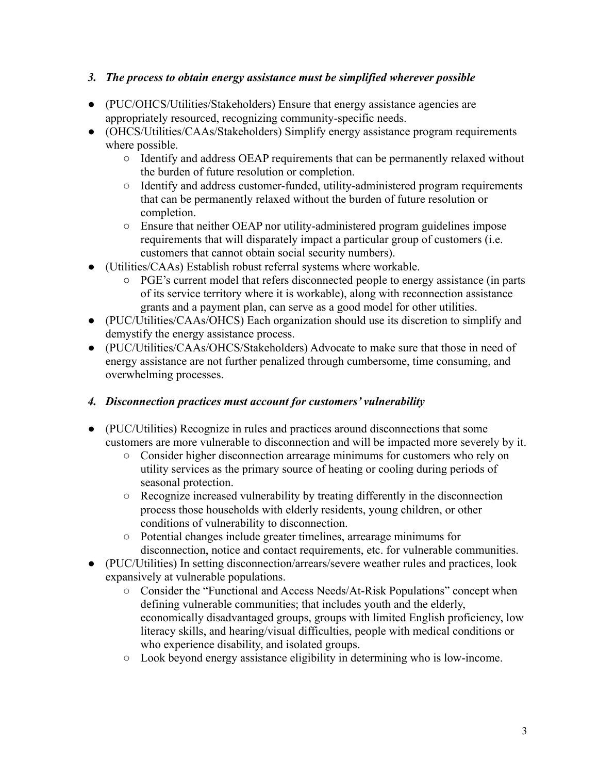## *3. The process to obtain energy assistance must be simplified wherever possible*

- (PUC/OHCS/Utilities/Stakeholders) Ensure that energy assistance agencies are appropriately resourced, recognizing community-specific needs.
- (OHCS/Utilities/CAAs/Stakeholders) Simplify energy assistance program requirements where possible.
	- Identify and address OEAP requirements that can be permanently relaxed without the burden of future resolution or completion.
	- Identify and address customer-funded, utility-administered program requirements that can be permanently relaxed without the burden of future resolution or completion.
	- Ensure that neither OEAP nor utility-administered program guidelines impose requirements that will disparately impact a particular group of customers (i.e. customers that cannot obtain social security numbers).
- (Utilities/CAAs) Establish robust referral systems where workable.
	- PGE's current model that refers disconnected people to energy assistance (in parts of its service territory where it is workable), along with reconnection assistance grants and a payment plan, can serve as a good model for other utilities.
- (PUC/Utilities/CAAs/OHCS) Each organization should use its discretion to simplify and demystify the energy assistance process.
- (PUC/Utilities/CAAs/OHCS/Stakeholders) Advocate to make sure that those in need of energy assistance are not further penalized through cumbersome, time consuming, and overwhelming processes.

## *4. Disconnection practices must account for customers' vulnerability*

- (PUC/Utilities) Recognize in rules and practices around disconnections that some customers are more vulnerable to disconnection and will be impacted more severely by it.
	- Consider higher disconnection arrearage minimums for customers who rely on utility services as the primary source of heating or cooling during periods of seasonal protection.
	- $\circ$  Recognize increased vulnerability by treating differently in the disconnection process those households with elderly residents, young children, or other conditions of vulnerability to disconnection.
	- Potential changes include greater timelines, arrearage minimums for disconnection, notice and contact requirements, etc. for vulnerable communities.
- (PUC/Utilities) In setting disconnection/arrears/severe weather rules and practices, look expansively at vulnerable populations.
	- Consider the "Functional and Access Needs/At-Risk Populations" concept when defining vulnerable communities; that includes youth and the elderly, economically disadvantaged groups, groups with limited English proficiency, low literacy skills, and hearing/visual difficulties, people with medical conditions or who experience disability, and isolated groups.
	- Look beyond energy assistance eligibility in determining who is low-income.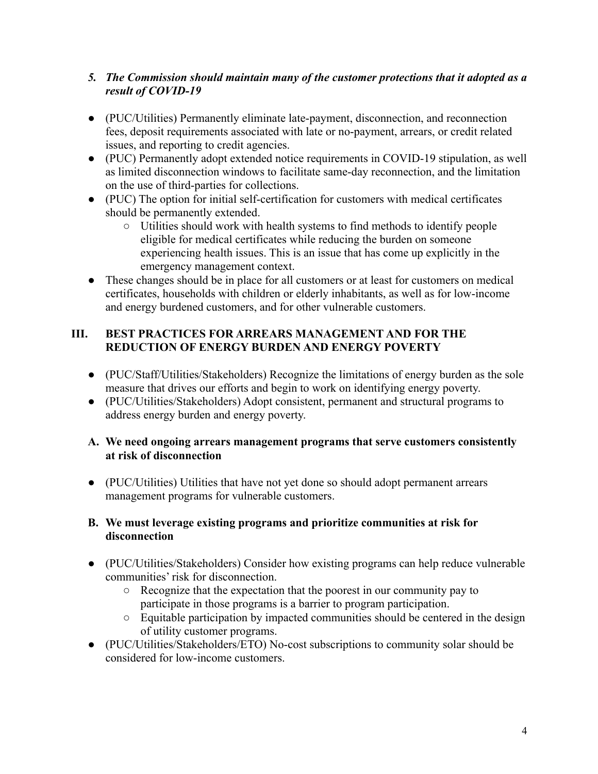## *5. The Commission should maintain many of the customer protections that it adopted as a result of COVID-19*

- (PUC/Utilities) Permanently eliminate late-payment, disconnection, and reconnection fees, deposit requirements associated with late or no-payment, arrears, or credit related issues, and reporting to credit agencies.
- (PUC) Permanently adopt extended notice requirements in COVID-19 stipulation, as well as limited disconnection windows to facilitate same-day reconnection, and the limitation on the use of third-parties for collections.
- (PUC) The option for initial self-certification for customers with medical certificates should be permanently extended.
	- Utilities should work with health systems to find methods to identify people eligible for medical certificates while reducing the burden on someone experiencing health issues. This is an issue that has come up explicitly in the emergency management context.
- These changes should be in place for all customers or at least for customers on medical certificates, households with children or elderly inhabitants, as well as for low-income and energy burdened customers, and for other vulnerable customers.

## **III. BEST PRACTICES FOR ARREARS MANAGEMENT AND FOR THE REDUCTION OF ENERGY BURDEN AND ENERGY POVERTY**

- (PUC/Staff/Utilities/Stakeholders) Recognize the limitations of energy burden as the sole measure that drives our efforts and begin to work on identifying energy poverty.
- (PUC/Utilities/Stakeholders) Adopt consistent, permanent and structural programs to address energy burden and energy poverty.

## **A. We need ongoing arrears management programs that serve customers consistently at risk of disconnection**

● (PUC/Utilities) Utilities that have not yet done so should adopt permanent arrears management programs for vulnerable customers.

#### **B. We must leverage existing programs and prioritize communities at risk for disconnection**

- (PUC/Utilities/Stakeholders) Consider how existing programs can help reduce vulnerable communities' risk for disconnection.
	- Recognize that the expectation that the poorest in our community pay to participate in those programs is a barrier to program participation.
	- Equitable participation by impacted communities should be centered in the design of utility customer programs.
- (PUC/Utilities/Stakeholders/ETO) No-cost subscriptions to community solar should be considered for low-income customers.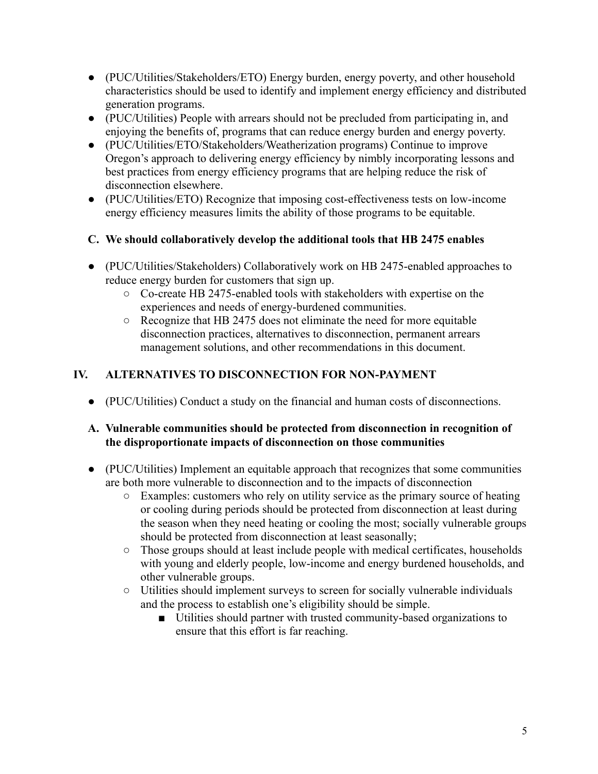- (PUC/Utilities/Stakeholders/ETO) Energy burden, energy poverty, and other household characteristics should be used to identify and implement energy efficiency and distributed generation programs.
- (PUC/Utilities) People with arrears should not be precluded from participating in, and enjoying the benefits of, programs that can reduce energy burden and energy poverty.
- (PUC/Utilities/ETO/Stakeholders/Weatherization programs) Continue to improve Oregon's approach to delivering energy efficiency by nimbly incorporating lessons and best practices from energy efficiency programs that are helping reduce the risk of disconnection elsewhere.
- (PUC/Utilities/ETO) Recognize that imposing cost-effectiveness tests on low-income energy efficiency measures limits the ability of those programs to be equitable.
- **C. We should collaboratively develop the additional tools that HB 2475 enables**
- (PUC/Utilities/Stakeholders) Collaboratively work on HB 2475-enabled approaches to reduce energy burden for customers that sign up.
	- Co-create HB 2475-enabled tools with stakeholders with expertise on the experiences and needs of energy-burdened communities.
	- Recognize that HB 2475 does not eliminate the need for more equitable disconnection practices, alternatives to disconnection, permanent arrears management solutions, and other recommendations in this document.

## **IV. ALTERNATIVES TO DISCONNECTION FOR NON-PAYMENT**

● (PUC/Utilities) Conduct a study on the financial and human costs of disconnections.

#### **A. Vulnerable communities should be protected from disconnection in recognition of the disproportionate impacts of disconnection on those communities**

- (PUC/Utilities) Implement an equitable approach that recognizes that some communities are both more vulnerable to disconnection and to the impacts of disconnection
	- Examples: customers who rely on utility service as the primary source of heating or cooling during periods should be protected from disconnection at least during the season when they need heating or cooling the most; socially vulnerable groups should be protected from disconnection at least seasonally;
	- Those groups should at least include people with medical certificates, households with young and elderly people, low-income and energy burdened households, and other vulnerable groups.
	- Utilities should implement surveys to screen for socially vulnerable individuals and the process to establish one's eligibility should be simple.
		- Utilities should partner with trusted community-based organizations to ensure that this effort is far reaching.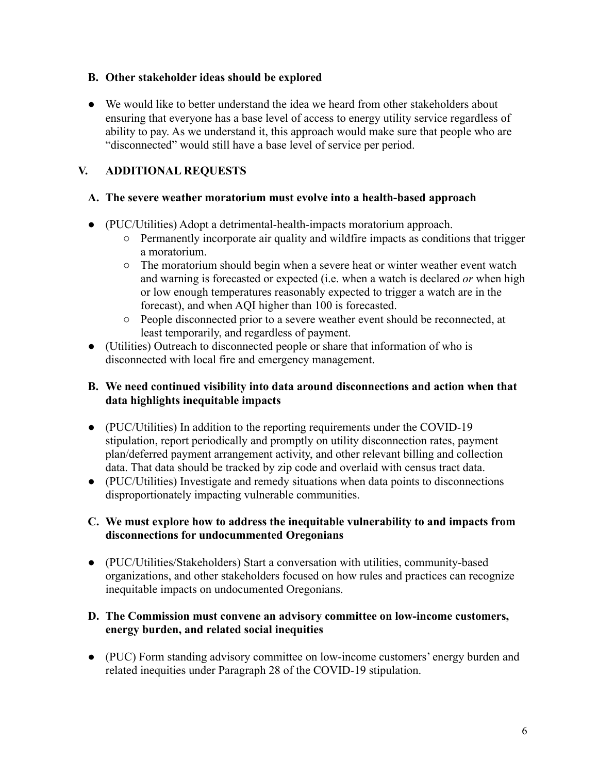#### **B. Other stakeholder ideas should be explored**

● We would like to better understand the idea we heard from other stakeholders about ensuring that everyone has a base level of access to energy utility service regardless of ability to pay. As we understand it, this approach would make sure that people who are "disconnected" would still have a base level of service per period.

## **V. ADDITIONAL REQUESTS**

## **A. The severe weather moratorium must evolve into a health-based approach**

- (PUC/Utilities) Adopt a detrimental-health-impacts moratorium approach.
	- Permanently incorporate air quality and wildfire impacts as conditions that trigger a moratorium.
	- The moratorium should begin when a severe heat or winter weather event watch and warning is forecasted or expected (i.e. when a watch is declared *or* when high or low enough temperatures reasonably expected to trigger a watch are in the forecast), and when AQI higher than 100 is forecasted.
	- People disconnected prior to a severe weather event should be reconnected, at least temporarily, and regardless of payment.
- (Utilities) Outreach to disconnected people or share that information of who is disconnected with local fire and emergency management.

## **B. We need continued visibility into data around disconnections and action when that data highlights inequitable impacts**

- (PUC/Utilities) In addition to the reporting requirements under the COVID-19 stipulation, report periodically and promptly on utility disconnection rates, payment plan/deferred payment arrangement activity, and other relevant billing and collection data. That data should be tracked by zip code and overlaid with census tract data.
- (PUC/Utilities) Investigate and remedy situations when data points to disconnections disproportionately impacting vulnerable communities.

## **C. We must explore how to address the inequitable vulnerability to and impacts from disconnections for undocummented Oregonians**

● (PUC/Utilities/Stakeholders) Start a conversation with utilities, community-based organizations, and other stakeholders focused on how rules and practices can recognize inequitable impacts on undocumented Oregonians.

#### **D. The Commission must convene an advisory committee on low-income customers, energy burden, and related social inequities**

● (PUC) Form standing advisory committee on low-income customers' energy burden and related inequities under Paragraph 28 of the COVID-19 stipulation.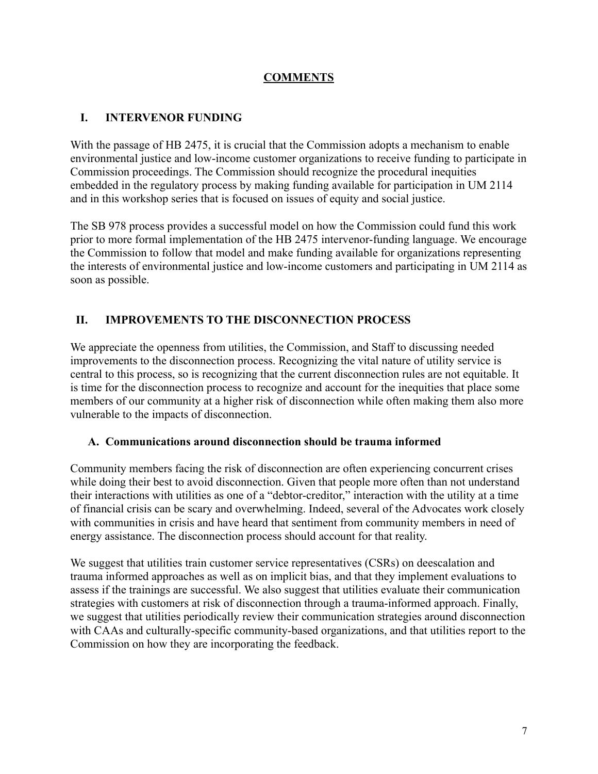## **COMMENTS**

## **I. INTERVENOR FUNDING**

With the passage of HB 2475, it is crucial that the Commission adopts a mechanism to enable environmental justice and low-income customer organizations to receive funding to participate in Commission proceedings. The Commission should recognize the procedural inequities embedded in the regulatory process by making funding available for participation in UM 2114 and in this workshop series that is focused on issues of equity and social justice.

The SB 978 process provides a successful model on how the Commission could fund this work prior to more formal implementation of the HB 2475 intervenor-funding language. We encourage the Commission to follow that model and make funding available for organizations representing the interests of environmental justice and low-income customers and participating in UM 2114 as soon as possible.

## **II. IMPROVEMENTS TO THE DISCONNECTION PROCESS**

We appreciate the openness from utilities, the Commission, and Staff to discussing needed improvements to the disconnection process. Recognizing the vital nature of utility service is central to this process, so is recognizing that the current disconnection rules are not equitable. It is time for the disconnection process to recognize and account for the inequities that place some members of our community at a higher risk of disconnection while often making them also more vulnerable to the impacts of disconnection.

#### **A. Communications around disconnection should be trauma informed**

Community members facing the risk of disconnection are often experiencing concurrent crises while doing their best to avoid disconnection. Given that people more often than not understand their interactions with utilities as one of a "debtor-creditor," interaction with the utility at a time of financial crisis can be scary and overwhelming. Indeed, several of the Advocates work closely with communities in crisis and have heard that sentiment from community members in need of energy assistance. The disconnection process should account for that reality.

We suggest that utilities train customer service representatives (CSRs) on deescalation and trauma informed approaches as well as on implicit bias, and that they implement evaluations to assess if the trainings are successful. We also suggest that utilities evaluate their communication strategies with customers at risk of disconnection through a trauma-informed approach. Finally, we suggest that utilities periodically review their communication strategies around disconnection with CAAs and culturally-specific community-based organizations, and that utilities report to the Commission on how they are incorporating the feedback.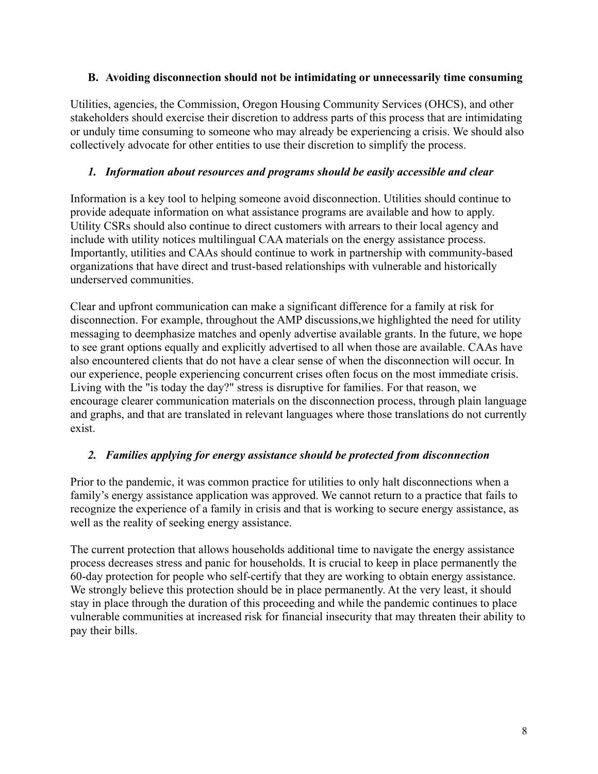#### **B. Avoiding disconnection should not be intimidating or unnecessarily time consuming**

Utilities, agencies, the Commission, Oregon Housing Community Services (OHCS), and other stakeholders should exercise their discretion to address parts of this process that are intimidating or unduly time consuming to someone who may already be experiencing a crisis. We should also collectively advocate for other entities to use their discretion to simplify the process.

#### *1. Information about resources and programs should be easily accessible and clear*

Information is a key tool to helping someone avoid disconnection. Utilities should continue to provide adequate information on what assistance programs are available and how to apply. Utility CSRs should also continue to direct customers with arrears to their local agency and include with utility notices multilingual CAA materials on the energy assistance process. Importantly, utilities and CAAs should continue to work in partnership with community-based organizations that have direct and trust-based relationships with vulnerable and historically underserved communities.

Clear and upfront communication can make a significant difference for a family at risk for disconnection. For example, throughout the AMP discussions,we highlighted the need for utility messaging to deemphasize matches and openly advertise available grants. In the future, we hope to see grant options equally and explicitly advertised to all when those are available. CAAs have also encountered clients that do not have a clear sense of when the disconnection will occur. In our experience, people experiencing concurrent crises often focus on the most immediate crisis. Living with the "is today the day?" stress is disruptive for families. For that reason, we encourage clearer communication materials on the disconnection process, through plain language and graphs, and that are translated in relevant languages where those translations do not currently exist.

#### *2. Families applying for energy assistance should be protected from disconnection*

Prior to the pandemic, it was common practice for utilities to only halt disconnections when a family's energy assistance application was approved. We cannot return to a practice that fails to recognize the experience of a family in crisis and that is working to secure energy assistance, as well as the reality of seeking energy assistance.

The current protection that allows households additional time to navigate the energy assistance process decreases stress and panic for households. It is crucial to keep in place permanently the 60-day protection for people who self-certify that they are working to obtain energy assistance. We strongly believe this protection should be in place permanently. At the very least, it should stay in place through the duration of this proceeding and while the pandemic continues to place vulnerable communities at increased risk for financial insecurity that may threaten their ability to pay their bills.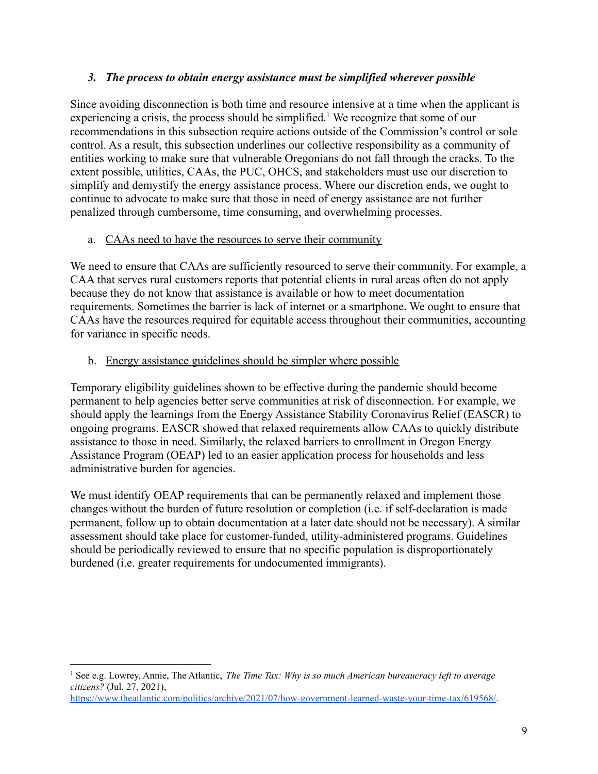#### *3. The process to obtain energy assistance must be simplified wherever possible*

Since avoiding disconnection is both time and resource intensive at a time when the applicant is experiencing a crisis, the process should be simplified.<sup>1</sup> We recognize that some of our recommendations in this subsection require actions outside of the Commission's control or sole control. As a result, this subsection underlines our collective responsibility as a community of entities working to make sure that vulnerable Oregonians do not fall through the cracks. To the extent possible, utilities, CAAs, the PUC, OHCS, and stakeholders must use our discretion to simplify and demystify the energy assistance process. Where our discretion ends, we ought to continue to advocate to make sure that those in need of energy assistance are not further penalized through cumbersome, time consuming, and overwhelming processes.

## a. CAAs need to have the resources to serve their community

We need to ensure that CAAs are sufficiently resourced to serve their community. For example, a CAA that serves rural customers reports that potential clients in rural areas often do not apply because they do not know that assistance is available or how to meet documentation requirements. Sometimes the barrier is lack of internet or a smartphone. We ought to ensure that CAAs have the resources required for equitable access throughout their communities, accounting for variance in specific needs.

## b. Energy assistance guidelines should be simpler where possible

Temporary eligibility guidelines shown to be effective during the pandemic should become permanent to help agencies better serve communities at risk of disconnection. For example, we should apply the learnings from the Energy Assistance Stability Coronavirus Relief (EASCR) to ongoing programs. EASCR showed that relaxed requirements allow CAAs to quickly distribute assistance to those in need. Similarly, the relaxed barriers to enrollment in Oregon Energy Assistance Program (OEAP) led to an easier application process for households and less administrative burden for agencies.

We must identify OEAP requirements that can be permanently relaxed and implement those changes without the burden of future resolution or completion (i.e. if self-declaration is made permanent, follow up to obtain documentation at a later date should not be necessary). A similar assessment should take place for customer-funded, utility-administered programs. Guidelines should be periodically reviewed to ensure that no specific population is disproportionately burdened (i.e. greater requirements for undocumented immigrants).

<sup>1</sup> See e.g. Lowrey, Annie, The Atlantic, *The Time Tax: Why is so much American bureaucracy left to average citizens?* (Jul. 27, 2021),

<https://www.theatlantic.com/politics/archive/2021/07/how-government-learned-waste-your-time-tax/619568/>.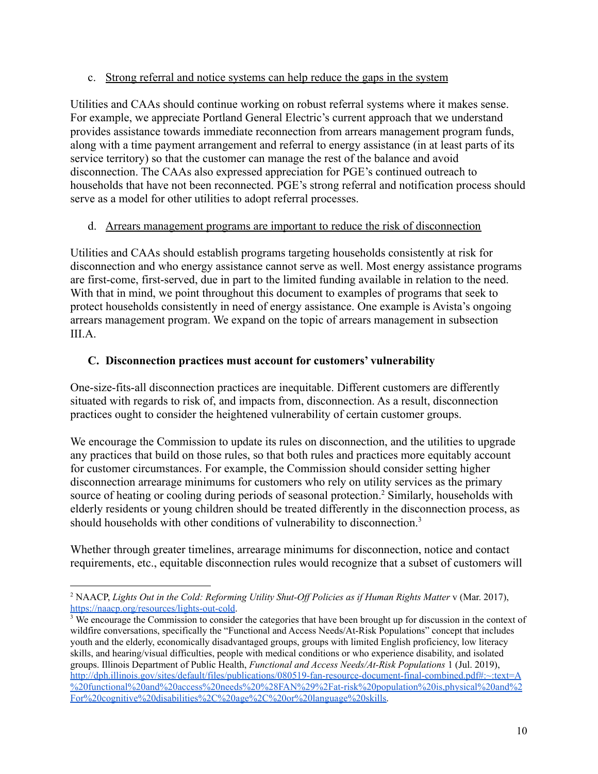#### c. Strong referral and notice systems can help reduce the gaps in the system

Utilities and CAAs should continue working on robust referral systems where it makes sense. For example, we appreciate Portland General Electric's current approach that we understand provides assistance towards immediate reconnection from arrears management program funds, along with a time payment arrangement and referral to energy assistance (in at least parts of its service territory) so that the customer can manage the rest of the balance and avoid disconnection. The CAAs also expressed appreciation for PGE's continued outreach to households that have not been reconnected. PGE's strong referral and notification process should serve as a model for other utilities to adopt referral processes.

#### d. Arrears management programs are important to reduce the risk of disconnection

Utilities and CAAs should establish programs targeting households consistently at risk for disconnection and who energy assistance cannot serve as well. Most energy assistance programs are first-come, first-served, due in part to the limited funding available in relation to the need. With that in mind, we point throughout this document to examples of programs that seek to protect households consistently in need of energy assistance. One example is Avista's ongoing arrears management program. We expand on the topic of arrears management in subsection III.A.

## **C. Disconnection practices must account for customers' vulnerability**

One-size-fits-all disconnection practices are inequitable. Different customers are differently situated with regards to risk of, and impacts from, disconnection. As a result, disconnection practices ought to consider the heightened vulnerability of certain customer groups.

We encourage the Commission to update its rules on disconnection, and the utilities to upgrade any practices that build on those rules, so that both rules and practices more equitably account for customer circumstances. For example, the Commission should consider setting higher disconnection arrearage minimums for customers who rely on utility services as the primary source of heating or cooling during periods of seasonal protection.<sup>2</sup> Similarly, households with elderly residents or young children should be treated differently in the disconnection process, as should households with other conditions of vulnerability to disconnection.<sup>3</sup>

Whether through greater timelines, arrearage minimums for disconnection, notice and contact requirements, etc., equitable disconnection rules would recognize that a subset of customers will

<sup>2</sup> NAACP, *Lights Out in the Cold: Reforming Utility Shut-Of Policies as if Human Rights Matter* v (Mar. 2017), [https://naacp.org/resources/lights-out-cold.](https://naacp.org/resources/lights-out-cold)

<sup>&</sup>lt;sup>3</sup> We encourage the Commission to consider the categories that have been brought up for discussion in the context of wildfire conversations, specifically the "Functional and Access Needs/At-Risk Populations" concept that includes youth and the elderly, economically disadvantaged groups, groups with limited English proficiency, low literacy skills, and hearing/visual difficulties, people with medical conditions or who experience disability, and isolated groups. Illinois Department of Public Health, *Functional and Access Needs/At-Risk Populations* 1 (Jul. 2019), [http://dph.illinois.gov/sites/default/files/publications/080519-fan-resource-document-final-combined.pdf#:~:text=A](http://dph.illinois.gov/sites/default/files/publications/080519-fan-resource-document-final-combined.pdf#:~:text=A%20functional%20and%20access%20needs%20%28FAN%29%2Fat-risk%20population%20is,physical%20and%2For%20cognitive%20disabilities%2C%20age%2C%20or%20language%20skills) [%20functional%20and%20access%20needs%20%28FAN%29%2Fat-risk%20population%20is,physical%20and%2](http://dph.illinois.gov/sites/default/files/publications/080519-fan-resource-document-final-combined.pdf#:~:text=A%20functional%20and%20access%20needs%20%28FAN%29%2Fat-risk%20population%20is,physical%20and%2For%20cognitive%20disabilities%2C%20age%2C%20or%20language%20skills) [For%20cognitive%20disabilities%2C%20age%2C%20or%20language%20skills.](http://dph.illinois.gov/sites/default/files/publications/080519-fan-resource-document-final-combined.pdf#:~:text=A%20functional%20and%20access%20needs%20%28FAN%29%2Fat-risk%20population%20is,physical%20and%2For%20cognitive%20disabilities%2C%20age%2C%20or%20language%20skills)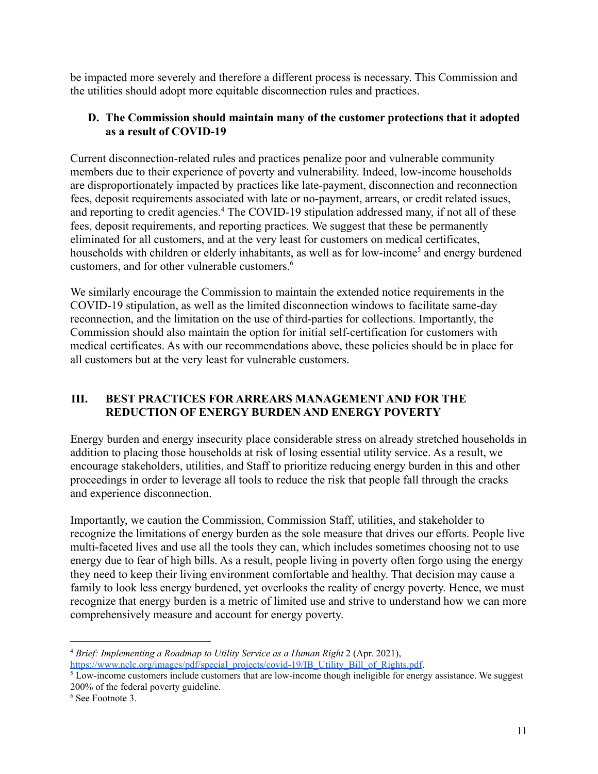be impacted more severely and therefore a different process is necessary. This Commission and the utilities should adopt more equitable disconnection rules and practices.

#### **D. The Commission should maintain many of the customer protections that it adopted as a result of COVID-19**

Current disconnection-related rules and practices penalize poor and vulnerable community members due to their experience of poverty and vulnerability. Indeed, low-income households are disproportionately impacted by practices like late-payment, disconnection and reconnection fees, deposit requirements associated with late or no-payment, arrears, or credit related issues, and reporting to credit agencies.<sup>4</sup> The COVID-19 stipulation addressed many, if not all of these fees, deposit requirements, and reporting practices. We suggest that these be permanently eliminated for all customers, and at the very least for customers on medical certificates, households with children or elderly inhabitants, as well as for low-income<sup>5</sup> and energy burdened customers, and for other vulnerable customers.<sup>6</sup>

We similarly encourage the Commission to maintain the extended notice requirements in the COVID-19 stipulation, as well as the limited disconnection windows to facilitate same-day reconnection, and the limitation on the use of third-parties for collections. Importantly, the Commission should also maintain the option for initial self-certification for customers with medical certificates. As with our recommendations above, these policies should be in place for all customers but at the very least for vulnerable customers.

## **III. BEST PRACTICES FOR ARREARS MANAGEMENT AND FOR THE REDUCTION OF ENERGY BURDEN AND ENERGY POVERTY**

Energy burden and energy insecurity place considerable stress on already stretched households in addition to placing those households at risk of losing essential utility service. As a result, we encourage stakeholders, utilities, and Staff to prioritize reducing energy burden in this and other proceedings in order to leverage all tools to reduce the risk that people fall through the cracks and experience disconnection.

Importantly, we caution the Commission, Commission Staff, utilities, and stakeholder to recognize the limitations of energy burden as the sole measure that drives our efforts. People live multi-faceted lives and use all the tools they can, which includes sometimes choosing not to use energy due to fear of high bills. As a result, people living in poverty often forgo using the energy they need to keep their living environment comfortable and healthy. That decision may cause a family to look less energy burdened, yet overlooks the reality of energy poverty. Hence, we must recognize that energy burden is a metric of limited use and strive to understand how we can more comprehensively measure and account for energy poverty.

<sup>4</sup> *Brief: Implementing a Roadmap to Utility Service as a Human Right* 2 (Apr. 2021), [https://www.nclc.org/images/pdf/special\\_projects/covid-19/IB\\_Utility\\_Bill\\_of\\_Rights.pdf](https://www.nclc.org/images/pdf/special_projects/covid-19/IB_Utility_Bill_of_Rights.pdf).

 $5$  Low-income customers include customers that are low-income though ineligible for energy assistance. We suggest 200% of the federal poverty guideline.

<sup>6</sup> See Footnote 3.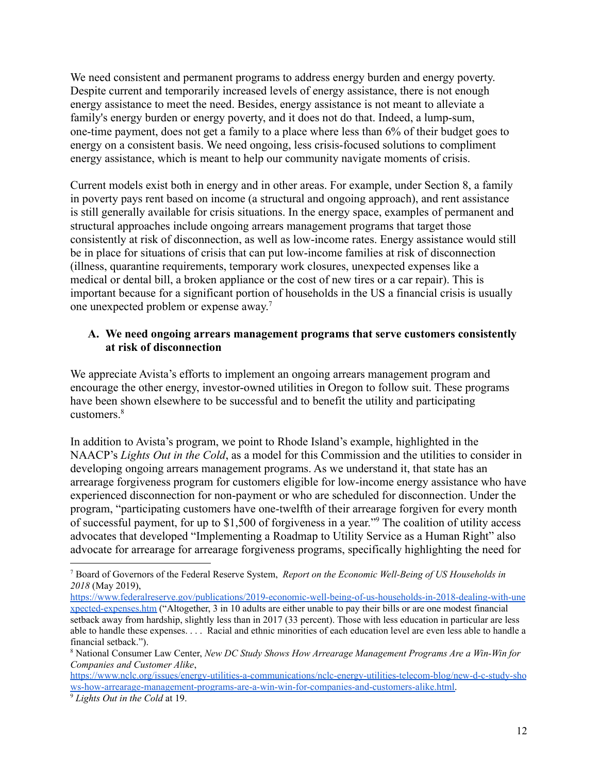We need consistent and permanent programs to address energy burden and energy poverty. Despite current and temporarily increased levels of energy assistance, there is not enough energy assistance to meet the need. Besides, energy assistance is not meant to alleviate a family's energy burden or energy poverty, and it does not do that. Indeed, a lump-sum, one-time payment, does not get a family to a place where less than 6% of their budget goes to energy on a consistent basis. We need ongoing, less crisis-focused solutions to compliment energy assistance, which is meant to help our community navigate moments of crisis.

Current models exist both in energy and in other areas. For example, under Section 8, a family in poverty pays rent based on income (a structural and ongoing approach), and rent assistance is still generally available for crisis situations. In the energy space, examples of permanent and structural approaches include ongoing arrears management programs that target those consistently at risk of disconnection, as well as low-income rates. Energy assistance would still be in place for situations of crisis that can put low-income families at risk of disconnection (illness, quarantine requirements, temporary work closures, unexpected expenses like a medical or dental bill, a broken appliance or the cost of new tires or a car repair). This is important because for a significant portion of households in the US a financial crisis is usually one unexpected problem or expense away. 7

#### **A. We need ongoing arrears management programs that serve customers consistently at risk of disconnection**

We appreciate Avista's efforts to implement an ongoing arrears management program and encourage the other energy, investor-owned utilities in Oregon to follow suit. These programs have been shown elsewhere to be successful and to benefit the utility and participating customers.<sup>8</sup>

In addition to Avista's program, we point to Rhode Island's example, highlighted in the NAACP's *Lights Out in the Cold*, as a model for this Commission and the utilities to consider in developing ongoing arrears management programs. As we understand it, that state has an arrearage forgiveness program for customers eligible for low-income energy assistance who have experienced disconnection for non-payment or who are scheduled for disconnection. Under the program, "participating customers have one-twelfth of their arrearage forgiven for every month of successful payment, for up to \$1,500 of forgiveness in a year."<sup>9</sup> The coalition of utility access advocates that developed "Implementing a Roadmap to Utility Service as a Human Right" also advocate for arrearage for arrearage forgiveness programs, specifically highlighting the need for

<sup>7</sup> Board of Governors of the Federal Reserve System, *Report on the Economic Well-Being of US Households in 2018* (May 2019),

[https://www.federalreserve.gov/publications/2019-economic-well-being-of-us-households-in-2018-dealing-with-une](https://www.federalreserve.gov/publications/2019-economic-well-being-of-us-households-in-2018-dealing-with-unexpected-expenses.htm) [xpected-expenses.htm](https://www.federalreserve.gov/publications/2019-economic-well-being-of-us-households-in-2018-dealing-with-unexpected-expenses.htm) ("Altogether, 3 in 10 adults are either unable to pay their bills or are one modest financial setback away from hardship, slightly less than in 2017 (33 percent). Those with less education in particular are less able to handle these expenses. . . . Racial and ethnic minorities of each education level are even less able to handle a financial setback.").

<sup>8</sup> National Consumer Law Center, *New DC Study Shows How Arrearage Management Programs Are a Win-Win for Companies and Customer Alike*,

[https://www.nclc.org/issues/energy-utilities-a-communications/nclc-energy-utilities-telecom-blog/new-d-c-study-sho](https://www.nclc.org/issues/energy-utilities-a-communications/nclc-energy-utilities-telecom-blog/new-d-c-study-shows-how-arrearage-management-programs-are-a-win-win-for-companies-and-customers-alike.html) [ws-how-arrearage-management-programs-are-a-win-win-for-companies-and-customers-alike.html.](https://www.nclc.org/issues/energy-utilities-a-communications/nclc-energy-utilities-telecom-blog/new-d-c-study-shows-how-arrearage-management-programs-are-a-win-win-for-companies-and-customers-alike.html)

<sup>9</sup> *Lights Out in the Cold* at 19.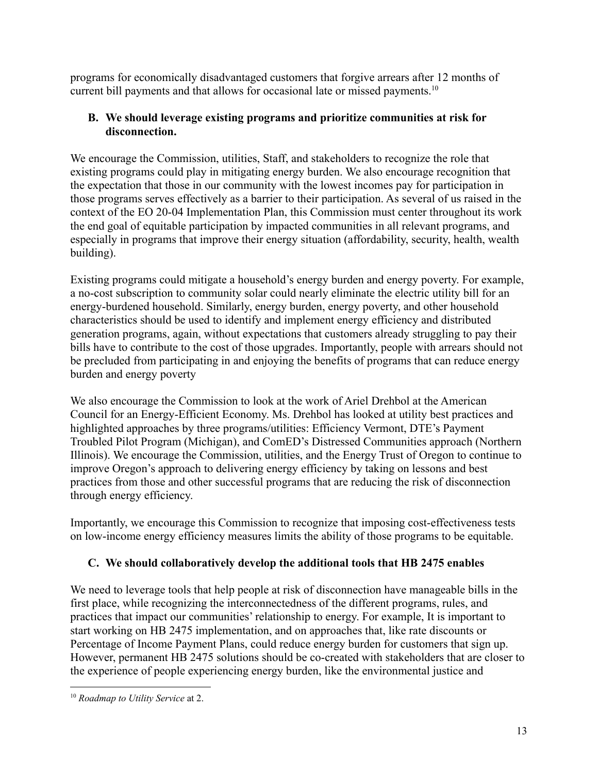programs for economically disadvantaged customers that forgive arrears after 12 months of current bill payments and that allows for occasional late or missed payments.<sup>10</sup>

## **B. We should leverage existing programs and prioritize communities at risk for disconnection.**

We encourage the Commission, utilities, Staff, and stakeholders to recognize the role that existing programs could play in mitigating energy burden. We also encourage recognition that the expectation that those in our community with the lowest incomes pay for participation in those programs serves effectively as a barrier to their participation. As several of us raised in the context of the EO 20-04 Implementation Plan, this Commission must center throughout its work the end goal of equitable participation by impacted communities in all relevant programs, and especially in programs that improve their energy situation (affordability, security, health, wealth building).

Existing programs could mitigate a household's energy burden and energy poverty. For example, a no-cost subscription to community solar could nearly eliminate the electric utility bill for an energy-burdened household. Similarly, energy burden, energy poverty, and other household characteristics should be used to identify and implement energy efficiency and distributed generation programs, again, without expectations that customers already struggling to pay their bills have to contribute to the cost of those upgrades. Importantly, people with arrears should not be precluded from participating in and enjoying the benefits of programs that can reduce energy burden and energy poverty

We also encourage the Commission to look at the work of Ariel Drehbol at the American Council for an Energy-Efficient Economy. Ms. Drehbol has looked at utility best practices and highlighted approaches by three programs/utilities: Efficiency Vermont, DTE's Payment Troubled Pilot Program (Michigan), and ComED's Distressed Communities approach (Northern Illinois). We encourage the Commission, utilities, and the Energy Trust of Oregon to continue to improve Oregon's approach to delivering energy efficiency by taking on lessons and best practices from those and other successful programs that are reducing the risk of disconnection through energy efficiency.

Importantly, we encourage this Commission to recognize that imposing cost-effectiveness tests on low-income energy efficiency measures limits the ability of those programs to be equitable.

# **C. We should collaboratively develop the additional tools that HB 2475 enables**

We need to leverage tools that help people at risk of disconnection have manageable bills in the first place, while recognizing the interconnectedness of the different programs, rules, and practices that impact our communities' relationship to energy. For example, It is important to start working on HB 2475 implementation, and on approaches that, like rate discounts or Percentage of Income Payment Plans, could reduce energy burden for customers that sign up. However, permanent HB 2475 solutions should be co-created with stakeholders that are closer to the experience of people experiencing energy burden, like the environmental justice and

<sup>10</sup> *Roadmap to Utility Service* at 2.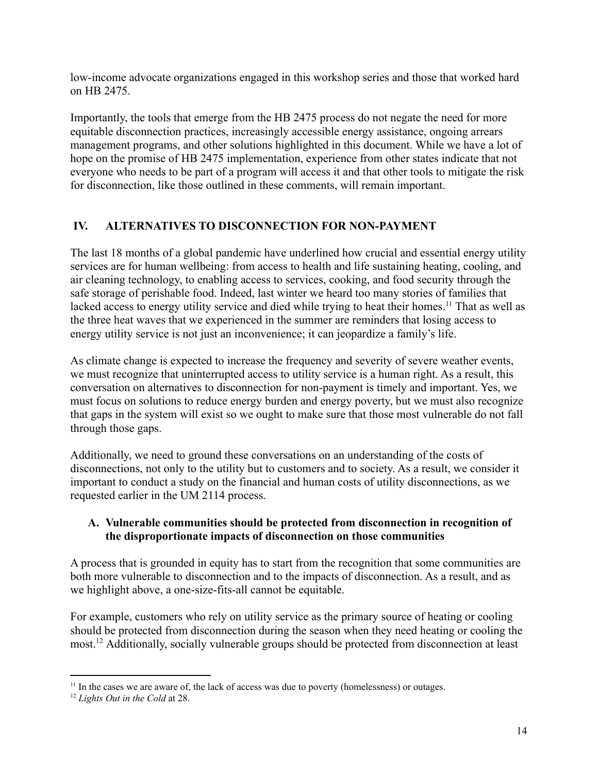low-income advocate organizations engaged in this workshop series and those that worked hard on HB 2475.

Importantly, the tools that emerge from the HB 2475 process do not negate the need for more equitable disconnection practices, increasingly accessible energy assistance, ongoing arrears management programs, and other solutions highlighted in this document. While we have a lot of hope on the promise of HB 2475 implementation, experience from other states indicate that not everyone who needs to be part of a program will access it and that other tools to mitigate the risk for disconnection, like those outlined in these comments, will remain important.

## **IV. ALTERNATIVES TO DISCONNECTION FOR NON-PAYMENT**

The last 18 months of a global pandemic have underlined how crucial and essential energy utility services are for human wellbeing: from access to health and life sustaining heating, cooling, and air cleaning technology, to enabling access to services, cooking, and food security through the safe storage of perishable food. Indeed, last winter we heard too many stories of families that lacked access to energy utility service and died while trying to heat their homes.<sup>11</sup> That as well as the three heat waves that we experienced in the summer are reminders that losing access to energy utility service is not just an inconvenience; it can jeopardize a family's life.

As climate change is expected to increase the frequency and severity of severe weather events, we must recognize that uninterrupted access to utility service is a human right. As a result, this conversation on alternatives to disconnection for non-payment is timely and important. Yes, we must focus on solutions to reduce energy burden and energy poverty, but we must also recognize that gaps in the system will exist so we ought to make sure that those most vulnerable do not fall through those gaps.

Additionally, we need to ground these conversations on an understanding of the costs of disconnections, not only to the utility but to customers and to society. As a result, we consider it important to conduct a study on the financial and human costs of utility disconnections, as we requested earlier in the UM 2114 process.

## **A. Vulnerable communities should be protected from disconnection in recognition of the disproportionate impacts of disconnection on those communities**

A process that is grounded in equity has to start from the recognition that some communities are both more vulnerable to disconnection and to the impacts of disconnection. As a result, and as we highlight above, a one-size-fits-all cannot be equitable.

For example, customers who rely on utility service as the primary source of heating or cooling should be protected from disconnection during the season when they need heating or cooling the most.<sup>12</sup> Additionally, socially vulnerable groups should be protected from disconnection at least

<sup>&</sup>lt;sup>11</sup> In the cases we are aware of, the lack of access was due to poverty (homelessness) or outages.

<sup>12</sup> *Lights Out in the Cold* at 28.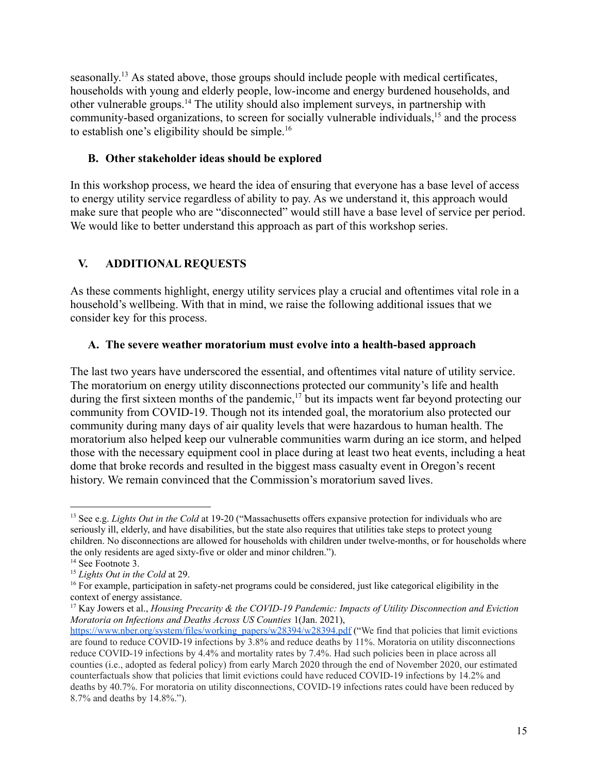seasonally.<sup>13</sup> As stated above, those groups should include people with medical certificates, households with young and elderly people, low-income and energy burdened households, and other vulnerable groups.<sup>14</sup> The utility should also implement surveys, in partnership with community-based organizations, to screen for socially vulnerable individuals,<sup>15</sup> and the process to establish one's eligibility should be simple.<sup>16</sup>

### **B. Other stakeholder ideas should be explored**

In this workshop process, we heard the idea of ensuring that everyone has a base level of access to energy utility service regardless of ability to pay. As we understand it, this approach would make sure that people who are "disconnected" would still have a base level of service per period. We would like to better understand this approach as part of this workshop series.

# **V. ADDITIONAL REQUESTS**

As these comments highlight, energy utility services play a crucial and oftentimes vital role in a household's wellbeing. With that in mind, we raise the following additional issues that we consider key for this process.

## **A. The severe weather moratorium must evolve into a health-based approach**

The last two years have underscored the essential, and oftentimes vital nature of utility service. The moratorium on energy utility disconnections protected our community's life and health during the first sixteen months of the pandemic, $17$  but its impacts went far beyond protecting our community from COVID-19. Though not its intended goal, the moratorium also protected our community during many days of air quality levels that were hazardous to human health. The moratorium also helped keep our vulnerable communities warm during an ice storm, and helped those with the necessary equipment cool in place during at least two heat events, including a heat dome that broke records and resulted in the biggest mass casualty event in Oregon's recent history. We remain convinced that the Commission's moratorium saved lives.

<sup>13</sup> See e.g. *Lights Out in the Cold* at 19-20 ("Massachusetts offers expansive protection for individuals who are seriously ill, elderly, and have disabilities, but the state also requires that utilities take steps to protect young children. No disconnections are allowed for households with children under twelve-months, or for households where the only residents are aged sixty-five or older and minor children.").

<sup>&</sup>lt;sup>14</sup> See Footnote 3.

<sup>15</sup> *Lights Out in the Cold* at 29.

 $16$  For example, participation in safety-net programs could be considered, just like categorical eligibility in the context of energy assistance.

<sup>17</sup> Kay Jowers et al., *Housing Precarity & the COVID-19 Pandemic: Impacts of Utility Disconnection and Eviction Moratoria on Infections and Deaths Across US Counties* 1(Jan. 2021),

[https://www.nber.org/system/files/working\\_papers/w28394/w28394.pdf](https://www.nber.org/system/files/working_papers/w28394/w28394.pdf) ("We find that policies that limit evictions are found to reduce COVID-19 infections by 3.8% and reduce deaths by 11%. Moratoria on utility disconnections reduce COVID-19 infections by 4.4% and mortality rates by 7.4%. Had such policies been in place across all counties (i.e., adopted as federal policy) from early March 2020 through the end of November 2020, our estimated counterfactuals show that policies that limit evictions could have reduced COVID-19 infections by 14.2% and deaths by 40.7%. For moratoria on utility disconnections, COVID-19 infections rates could have been reduced by 8.7% and deaths by 14.8%.").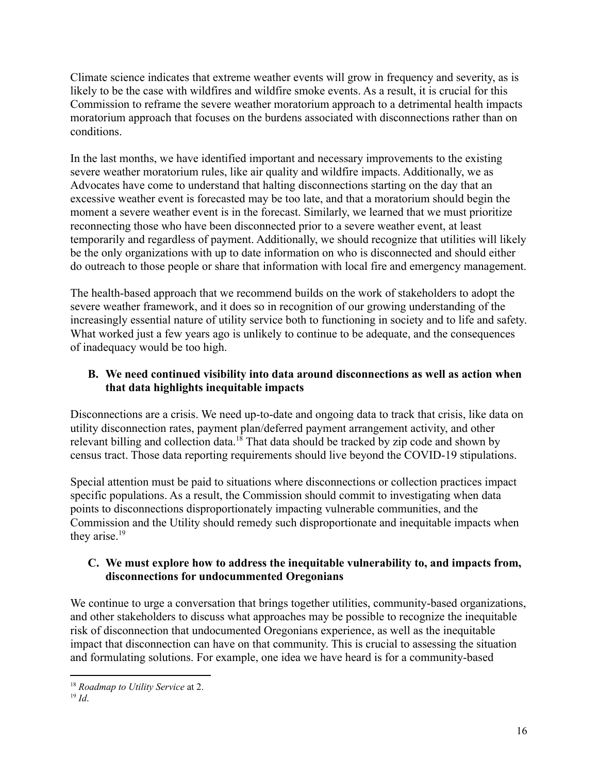Climate science indicates that extreme weather events will grow in frequency and severity, as is likely to be the case with wildfires and wildfire smoke events. As a result, it is crucial for this Commission to reframe the severe weather moratorium approach to a detrimental health impacts moratorium approach that focuses on the burdens associated with disconnections rather than on conditions.

In the last months, we have identified important and necessary improvements to the existing severe weather moratorium rules, like air quality and wildfire impacts. Additionally, we as Advocates have come to understand that halting disconnections starting on the day that an excessive weather event is forecasted may be too late, and that a moratorium should begin the moment a severe weather event is in the forecast. Similarly, we learned that we must prioritize reconnecting those who have been disconnected prior to a severe weather event, at least temporarily and regardless of payment. Additionally, we should recognize that utilities will likely be the only organizations with up to date information on who is disconnected and should either do outreach to those people or share that information with local fire and emergency management.

The health-based approach that we recommend builds on the work of stakeholders to adopt the severe weather framework, and it does so in recognition of our growing understanding of the increasingly essential nature of utility service both to functioning in society and to life and safety. What worked just a few years ago is unlikely to continue to be adequate, and the consequences of inadequacy would be too high.

## **B. We need continued visibility into data around disconnections as well as action when that data highlights inequitable impacts**

Disconnections are a crisis. We need up-to-date and ongoing data to track that crisis, like data on utility disconnection rates, payment plan/deferred payment arrangement activity, and other relevant billing and collection data.<sup>18</sup> That data should be tracked by zip code and shown by census tract. Those data reporting requirements should live beyond the COVID-19 stipulations.

Special attention must be paid to situations where disconnections or collection practices impact specific populations. As a result, the Commission should commit to investigating when data points to disconnections disproportionately impacting vulnerable communities, and the Commission and the Utility should remedy such disproportionate and inequitable impacts when they arise.<sup>19</sup>

## **C. We must explore how to address the inequitable vulnerability to, and impacts from, disconnections for undocummented Oregonians**

We continue to urge a conversation that brings together utilities, community-based organizations, and other stakeholders to discuss what approaches may be possible to recognize the inequitable risk of disconnection that undocumented Oregonians experience, as well as the inequitable impact that disconnection can have on that community. This is crucial to assessing the situation and formulating solutions. For example, one idea we have heard is for a community-based

<sup>18</sup> *Roadmap to Utility Service* at 2.

<sup>19</sup> *Id*.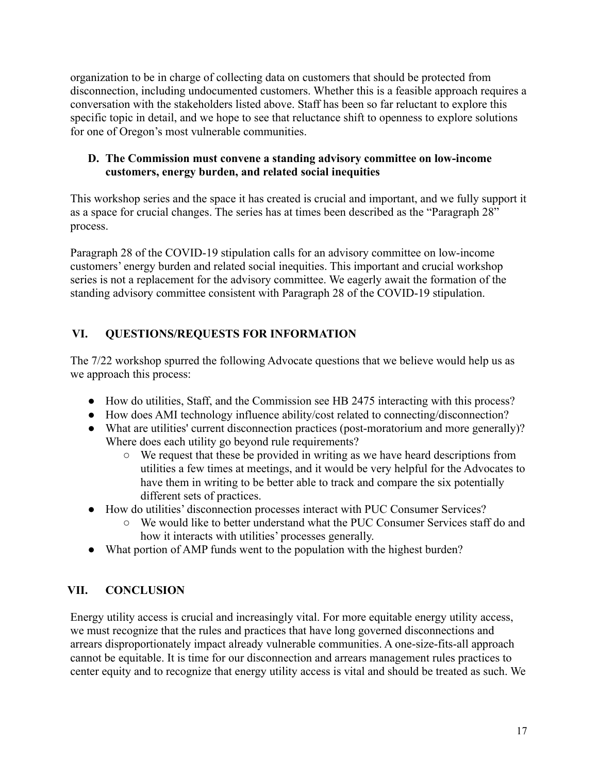organization to be in charge of collecting data on customers that should be protected from disconnection, including undocumented customers. Whether this is a feasible approach requires a conversation with the stakeholders listed above. Staff has been so far reluctant to explore this specific topic in detail, and we hope to see that reluctance shift to openness to explore solutions for one of Oregon's most vulnerable communities.

### **D. The Commission must convene a standing advisory committee on low-income customers, energy burden, and related social inequities**

This workshop series and the space it has created is crucial and important, and we fully support it as a space for crucial changes. The series has at times been described as the "Paragraph 28" process.

Paragraph 28 of the COVID-19 stipulation calls for an advisory committee on low-income customers' energy burden and related social inequities. This important and crucial workshop series is not a replacement for the advisory committee. We eagerly await the formation of the standing advisory committee consistent with Paragraph 28 of the COVID-19 stipulation.

# **VI. QUESTIONS/REQUESTS FOR INFORMATION**

The 7/22 workshop spurred the following Advocate questions that we believe would help us as we approach this process:

- How do utilities, Staff, and the Commission see HB 2475 interacting with this process?
- How does AMI technology influence ability/cost related to connecting/disconnection?
- What are utilities' current disconnection practices (post-moratorium and more generally)? Where does each utility go beyond rule requirements?
	- We request that these be provided in writing as we have heard descriptions from utilities a few times at meetings, and it would be very helpful for the Advocates to have them in writing to be better able to track and compare the six potentially different sets of practices.
- How do utilities' disconnection processes interact with PUC Consumer Services?
	- We would like to better understand what the PUC Consumer Services staff do and how it interacts with utilities' processes generally.
- What portion of AMP funds went to the population with the highest burden?

# **VII. CONCLUSION**

Energy utility access is crucial and increasingly vital. For more equitable energy utility access, we must recognize that the rules and practices that have long governed disconnections and arrears disproportionately impact already vulnerable communities. A one-size-fits-all approach cannot be equitable. It is time for our disconnection and arrears management rules practices to center equity and to recognize that energy utility access is vital and should be treated as such. We